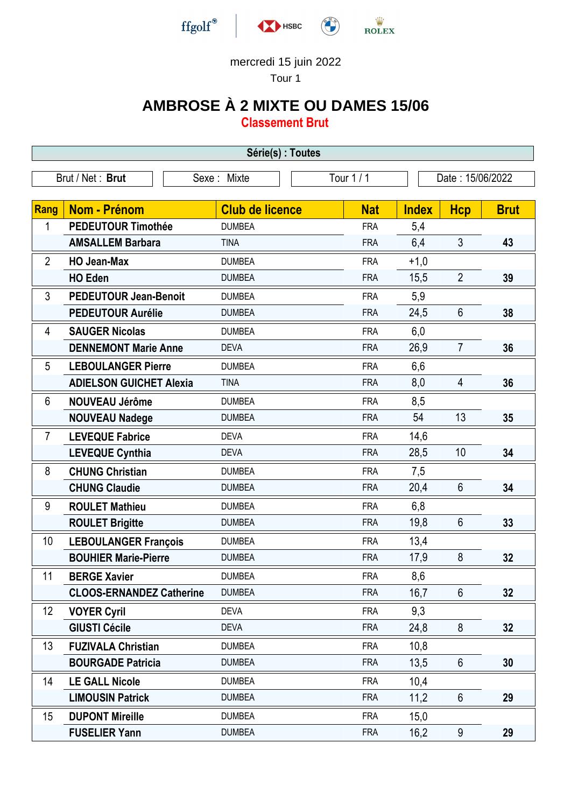

## mercredi 15 juin 2022

Tour 1

## **AMBROSE À 2 MIXTE OU DAMES 15/06**

**Classement Brut**

| Série(s) : Toutes |                                 |                        |                 |              |                  |             |  |  |  |
|-------------------|---------------------------------|------------------------|-----------------|--------------|------------------|-------------|--|--|--|
|                   | Brut / Net: Brut                | Sexe: Mixte            | <b>Tour 1/1</b> |              | Date: 15/06/2022 |             |  |  |  |
|                   |                                 |                        |                 |              |                  |             |  |  |  |
| <b>Rang</b>       | Nom - Prénom                    | <b>Club de licence</b> | <b>Nat</b>      | <b>Index</b> | <b>Hcp</b>       | <b>Brut</b> |  |  |  |
| 1                 | <b>PEDEUTOUR Timothée</b>       | <b>DUMBEA</b>          | <b>FRA</b>      | 5,4          |                  |             |  |  |  |
|                   | <b>AMSALLEM Barbara</b>         | <b>TINA</b>            | <b>FRA</b>      | 6,4          | 3                | 43          |  |  |  |
| $\overline{2}$    | <b>HO Jean-Max</b>              | <b>DUMBEA</b>          | <b>FRA</b>      | $+1,0$       |                  |             |  |  |  |
|                   | <b>HO Eden</b>                  | <b>DUMBEA</b>          | <b>FRA</b>      | 15,5         | $\overline{2}$   | 39          |  |  |  |
| 3                 | <b>PEDEUTOUR Jean-Benoit</b>    | <b>DUMBEA</b>          | <b>FRA</b>      | 5,9          |                  |             |  |  |  |
|                   | <b>PEDEUTOUR Aurélie</b>        | <b>DUMBEA</b>          | <b>FRA</b>      | 24,5         | 6                | 38          |  |  |  |
| 4                 | <b>SAUGER Nicolas</b>           | <b>DUMBEA</b>          | <b>FRA</b>      | 6,0          |                  |             |  |  |  |
|                   | <b>DENNEMONT Marie Anne</b>     | <b>DEVA</b>            | <b>FRA</b>      | 26,9         | $\overline{7}$   | 36          |  |  |  |
| 5                 | <b>LEBOULANGER Pierre</b>       | <b>DUMBEA</b>          | <b>FRA</b>      | 6,6          |                  |             |  |  |  |
|                   | <b>ADIELSON GUICHET Alexia</b>  | <b>TINA</b>            | <b>FRA</b>      | 8,0          | 4                | 36          |  |  |  |
| 6                 | <b>NOUVEAU Jérôme</b>           | <b>DUMBEA</b>          | <b>FRA</b>      | 8,5          |                  |             |  |  |  |
|                   | <b>NOUVEAU Nadege</b>           | <b>DUMBEA</b>          | <b>FRA</b>      | 54           | 13               | 35          |  |  |  |
| $\overline{7}$    | <b>LEVEQUE Fabrice</b>          | <b>DEVA</b>            | <b>FRA</b>      | 14,6         |                  |             |  |  |  |
|                   | <b>LEVEQUE Cynthia</b>          | <b>DEVA</b>            | <b>FRA</b>      | 28,5         | 10               | 34          |  |  |  |
| 8                 | <b>CHUNG Christian</b>          | <b>DUMBEA</b>          | <b>FRA</b>      | 7,5          |                  |             |  |  |  |
|                   | <b>CHUNG Claudie</b>            | <b>DUMBEA</b>          | <b>FRA</b>      | 20,4         | $6\phantom{1}$   | 34          |  |  |  |
| 9                 | <b>ROULET Mathieu</b>           | <b>DUMBEA</b>          | <b>FRA</b>      | 6,8          |                  |             |  |  |  |
|                   | <b>ROULET Brigitte</b>          | <b>DUMBEA</b>          | <b>FRA</b>      | 19,8         | $6\phantom{1}$   | 33          |  |  |  |
| 10                | <b>LEBOULANGER François</b>     | <b>DUMBEA</b>          | <b>FRA</b>      | 13,4         |                  |             |  |  |  |
|                   | <b>BOUHIER Marie-Pierre</b>     | <b>DUMBEA</b>          | <b>FRA</b>      | 17,9         | 8                | 32          |  |  |  |
| 11                | <b>BERGE Xavier</b>             | <b>DUMBEA</b>          | <b>FRA</b>      | 8,6          |                  |             |  |  |  |
|                   | <b>CLOOS-ERNANDEZ Catherine</b> | <b>DUMBEA</b>          | <b>FRA</b>      | 16,7         | $6\phantom{.}$   | 32          |  |  |  |
| 12                | <b>VOYER Cyril</b>              | <b>DEVA</b>            | <b>FRA</b>      | 9,3          |                  |             |  |  |  |
|                   | <b>GIUSTI Cécile</b>            | <b>DEVA</b>            | <b>FRA</b>      | 24,8         | 8                | 32          |  |  |  |
| 13                | <b>FUZIVALA Christian</b>       | <b>DUMBEA</b>          | <b>FRA</b>      | 10,8         |                  |             |  |  |  |
|                   | <b>BOURGADE Patricia</b>        | <b>DUMBEA</b>          | <b>FRA</b>      | 13,5         | $6\phantom{1}$   | 30          |  |  |  |
| 14                | <b>LE GALL Nicole</b>           | <b>DUMBEA</b>          | <b>FRA</b>      | 10,4         |                  |             |  |  |  |
|                   | <b>LIMOUSIN Patrick</b>         | <b>DUMBEA</b>          | <b>FRA</b>      | 11,2         | 6                | 29          |  |  |  |
| 15                | <b>DUPONT Mireille</b>          | <b>DUMBEA</b>          | <b>FRA</b>      | 15,0         |                  |             |  |  |  |
|                   | <b>FUSELIER Yann</b>            | <b>DUMBEA</b>          | <b>FRA</b>      | 16,2         | 9                | 29          |  |  |  |
|                   |                                 |                        |                 |              |                  |             |  |  |  |